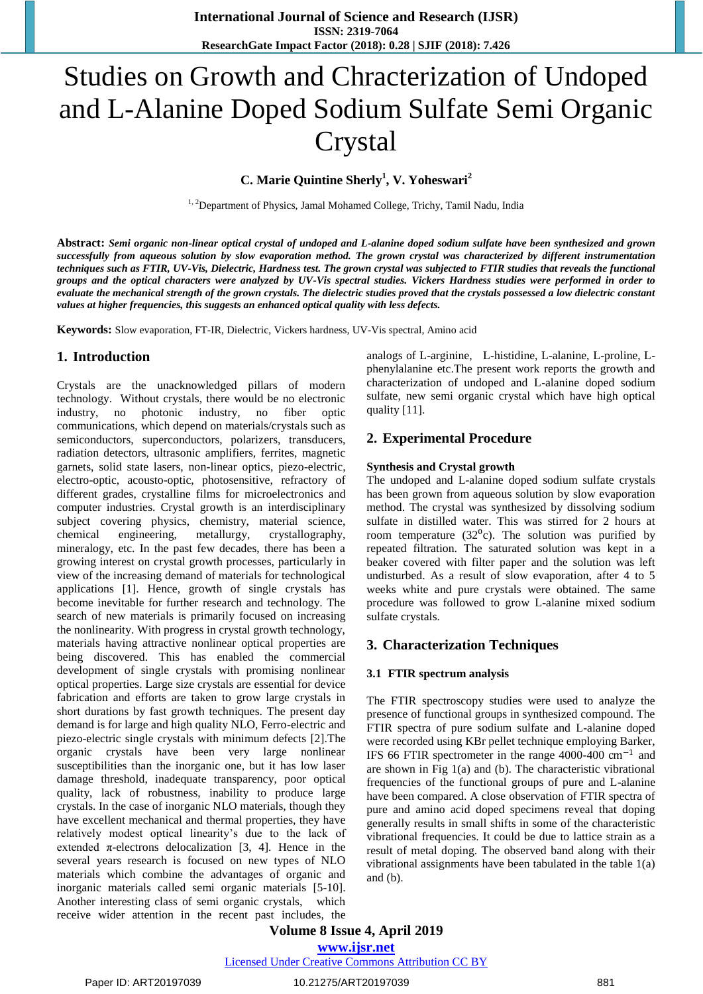# Studies on Growth and Chracterization of Undoped and L-Alanine Doped Sodium Sulfate Semi Organic Crystal

**C. Marie Quintine Sherly<sup>1</sup> , V. Yoheswari<sup>2</sup>**

<sup>1, 2</sup>Department of Physics, Jamal Mohamed College, Trichy, Tamil Nadu, India

**Abstract:** *Semi organic non-linear optical crystal of undoped and L-alanine doped sodium sulfate have been synthesized and grown successfully from aqueous solution by slow evaporation method. The grown crystal was characterized by different instrumentation techniques such as FTIR, UV-Vis, Dielectric, Hardness test. The grown crystal was subjected to FTIR studies that reveals the functional groups and the optical characters were analyzed by UV-Vis spectral studies. Vickers Hardness studies were performed in order to evaluate the mechanical strength of the grown crystals. The dielectric studies proved that the crystals possessed a low dielectric constant values at higher frequencies, this suggests an enhanced optical quality with less defects.*

**Keywords:** Slow evaporation, FT-IR, Dielectric, Vickers hardness, UV-Vis spectral, Amino acid

## **1. Introduction**

Crystals are the unacknowledged pillars of modern technology. Without crystals, there would be no electronic industry, no photonic industry, no fiber optic communications, which depend on materials/crystals such as semiconductors, superconductors, polarizers, transducers, radiation detectors, ultrasonic amplifiers, ferrites, magnetic garnets, solid state lasers, non-linear optics, piezo-electric, electro-optic, acousto-optic, photosensitive, refractory of different grades, crystalline films for microelectronics and computer industries. Crystal growth is an interdisciplinary subject covering physics, chemistry, material science, chemical engineering, metallurgy, crystallography, mineralogy, etc. In the past few decades, there has been a growing interest on crystal growth processes, particularly in view of the increasing demand of materials for technological applications [1]. Hence, growth of single crystals has become inevitable for further research and technology. The search of new materials is primarily focused on increasing the nonlinearity. With progress in crystal growth technology, materials having attractive nonlinear optical properties are being discovered. This has enabled the commercial development of single crystals with promising nonlinear optical properties. Large size crystals are essential for device fabrication and efforts are taken to grow large crystals in short durations by fast growth techniques. The present day demand is for large and high quality NLO, Ferro-electric and piezo-electric single crystals with minimum defects [2].The organic crystals have been very large nonlinear susceptibilities than the inorganic one, but it has low laser damage threshold, inadequate transparency, poor optical quality, lack of robustness, inability to produce large crystals. In the case of inorganic NLO materials, though they have excellent mechanical and thermal properties, they have relatively modest optical linearity's due to the lack of extended  $\pi$ -electrons delocalization [3, 4]. Hence in the several years research is focused on new types of NLO materials which combine the advantages of organic and inorganic materials called semi organic materials [5-10]. Another interesting class of semi organic crystals, which receive wider attention in the recent past includes, the analogs of L-arginine, L-histidine, L-alanine, L-proline, Lphenylalanine etc.The present work reports the growth and characterization of undoped and L-alanine doped sodium sulfate, new semi organic crystal which have high optical quality [11].

## **2. Experimental Procedure**

#### **Synthesis and Crystal growth**

The undoped and L-alanine doped sodium sulfate crystals has been grown from aqueous solution by slow evaporation method. The crystal was synthesized by dissolving sodium sulfate in distilled water. This was stirred for 2 hours at room temperature  $(32<sup>0</sup>c)$ . The solution was purified by repeated filtration. The saturated solution was kept in a beaker covered with filter paper and the solution was left undisturbed. As a result of slow evaporation, after 4 to 5 weeks white and pure crystals were obtained. The same procedure was followed to grow L-alanine mixed sodium sulfate crystals.

## **3. Characterization Techniques**

#### **3.1 FTIR spectrum analysis**

The FTIR spectroscopy studies were used to analyze the presence of functional groups in synthesized compound. The FTIR spectra of pure sodium sulfate and L-alanine doped were recorded using KBr pellet technique employing Barker, IFS 66 FTIR spectrometer in the range 4000-400 cm<sup>−</sup><sup>1</sup> and are shown in Fig 1(a) and (b). The characteristic vibrational frequencies of the functional groups of pure and L-alanine have been compared. A close observation of FTIR spectra of pure and amino acid doped specimens reveal that doping generally results in small shifts in some of the characteristic vibrational frequencies. It could be due to lattice strain as a result of metal doping. The observed band along with their vibrational assignments have been tabulated in the table 1(a) and (b).

**Volume 8 Issue 4, April 2019**

**www.ijsr.net**

Licensed Under Creative Commons Attribution CC BY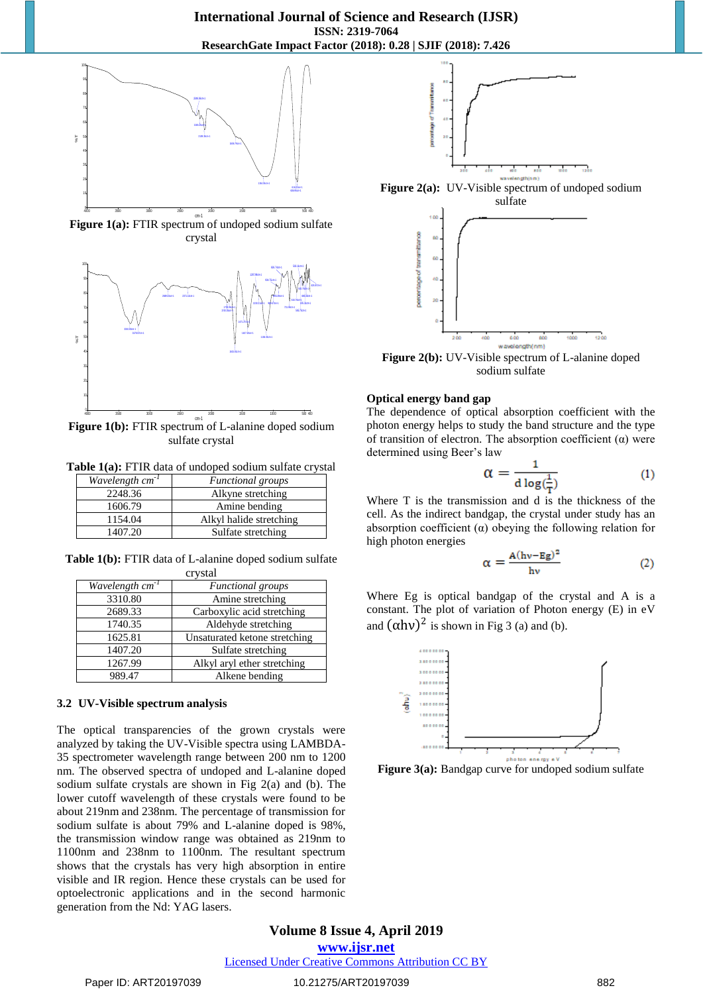

**Figure 1(a):** FTIR spectrum of undoped sodium sulfate crystal



**Figure 1(b):** FTIR spectrum of L-alanine doped sodium sulfate crystal

**Table 1(a):** FTIR data of undoped sodium sulfate crystal

| Wavelength $cm^{-1}$ | <b>Functional</b> groups |
|----------------------|--------------------------|
| 2248.36              | Alkyne stretching        |
| 1606.79              | Amine bending            |
| 1154.04              | Alkyl halide stretching  |
| 1407.20              | Sulfate stretching       |

**Table 1(b):** FTIR data of L-alanine doped sodium sulfate crystal

| Wavelength cm <sup>-1</sup> | Functional groups             |  |  |
|-----------------------------|-------------------------------|--|--|
| 3310.80                     | Amine stretching              |  |  |
| 2689.33                     | Carboxylic acid stretching    |  |  |
| 1740.35                     | Aldehyde stretching           |  |  |
| 1625.81                     | Unsaturated ketone stretching |  |  |
| 1407.20                     | Sulfate stretching            |  |  |
| 1267.99                     | Alkyl aryl ether stretching   |  |  |
| 989.47                      | Alkene bending                |  |  |

#### **3.2 UV-Visible spectrum analysis**

The optical transparencies of the grown crystals were analyzed by taking the UV-Visible spectra using LAMBDA-35 spectrometer wavelength range between 200 nm to 1200 nm. The observed spectra of undoped and L-alanine doped sodium sulfate crystals are shown in Fig 2(a) and (b). The lower cutoff wavelength of these crystals were found to be about 219nm and 238nm. The percentage of transmission for sodium sulfate is about 79% and L-alanine doped is 98%, the transmission window range was obtained as 219nm to 1100nm and 238nm to 1100nm. The resultant spectrum shows that the crystals has very high absorption in entire visible and IR region. Hence these crystals can be used for optoelectronic applications and in the second harmonic generation from the Nd: YAG lasers.



Figure 2(a): UV-Visible spectrum of undoped sodium



**Figure 2(b):** UV-Visible spectrum of L-alanine doped sodium sulfate

#### **Optical energy band gap**

The dependence of optical absorption coefficient with the photon energy helps to study the band structure and the type of transition of electron. The absorption coefficient  $(\alpha)$  were determined using Beer's law

$$
\alpha = \frac{1}{d \log(\frac{1}{T})} \tag{1}
$$

Where T is the transmission and d is the thickness of the cell. As the indirect bandgap, the crystal under study has an absorption coefficient  $(\alpha)$  obeying the following relation for high photon energies

$$
\alpha = \frac{A(hv - Eg)^2}{hv} \tag{2}
$$

Where Eg is optical bandgap of the crystal and A is a constant. The plot of variation of Photon energy (E) in eV and  $(\alpha h\nu)^2$  is shown in Fig 3 (a) and (b).



Figure 3(a): Bandgap curve for undoped sodium sulfate

## **Volume 8 Issue 4, April 2019 www.ijsr.net** Licensed Under Creative Commons Attribution CC BY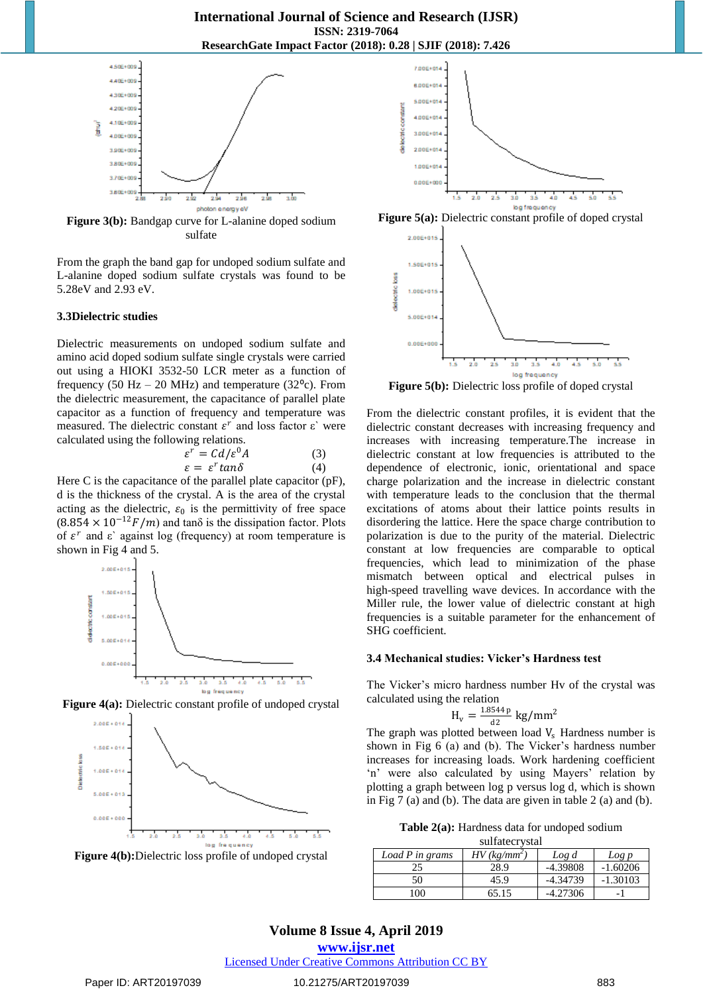

**Figure 3(b):** Bandgap curve for L-alanine doped sodium sulfate

From the graph the band gap for undoped sodium sulfate and L-alanine doped sodium sulfate crystals was found to be 5.28eV and 2.93 eV.

#### **3.3Dielectric studies**

Dielectric measurements on undoped sodium sulfate and amino acid doped sodium sulfate single crystals were carried out using a HIOKI 3532-50 LCR meter as a function of frequency (50 Hz – 20 MHz) and temperature (32 $^{\circ}$ c). From the dielectric measurement, the capacitance of parallel plate capacitor as a function of frequency and temperature was measured. The dielectric constant  $\varepsilon^r$  and loss factor  $\varepsilon$ ' were calculated using the following relations.

$$
\varepsilon^r = C d/\varepsilon^0 A \tag{3}
$$
  

$$
\varepsilon = \varepsilon^r \tan \delta \tag{4}
$$

Here C is the capacitance of the parallel plate capacitor (pF), d is the thickness of the crystal. A is the area of the crystal acting as the dielectric,  $\varepsilon_0$  is the permittivity of free space  $(8.854 \times 10^{-12} F/m)$  and tan $\delta$  is the dissipation factor. Plots of  $\varepsilon^r$  and  $\varepsilon$ ' against log (frequency) at room temperature is shown in Fig 4 and 5.











**Figure 5(a):** Dielectric constant profile of doped crystal



**Figure 5(b):** Dielectric loss profile of doped crystal

From the dielectric constant profiles, it is evident that the dielectric constant decreases with increasing frequency and increases with increasing temperature.The increase in dielectric constant at low frequencies is attributed to the dependence of electronic, ionic, orientational and space charge polarization and the increase in dielectric constant with temperature leads to the conclusion that the thermal excitations of atoms about their lattice points results in disordering the lattice. Here the space charge contribution to polarization is due to the purity of the material. Dielectric constant at low frequencies are comparable to optical frequencies, which lead to minimization of the phase mismatch between optical and electrical pulses in high-speed travelling wave devices. In accordance with the Miller rule, the lower value of dielectric constant at high frequencies is a suitable parameter for the enhancement of SHG coefficient.

#### **3.4 Mechanical studies: Vicker's Hardness test**

The Vicker's micro hardness number Hv of the crystal was calculated using the relation

$$
H_v = \tfrac{1.8544\,p}{\text{d}2}\text{ kg/mm}^2
$$

The graph was plotted between load  $V_s$  Hardness number is shown in Fig 6 (a) and (b). The Vicker's hardness number increases for increasing loads. Work hardening coefficient 'n' were also calculated by using Mayers' relation by plotting a graph between log p versus log d, which is shown in Fig 7 (a) and (b). The data are given in table 2 (a) and (b).

| <b>Table 2(a):</b> Hardness data for undoped sodium |  |  |  |
|-----------------------------------------------------|--|--|--|
|-----------------------------------------------------|--|--|--|

| sulfatecrystal  |                            |            |            |  |  |
|-----------------|----------------------------|------------|------------|--|--|
| Load P in grams | $HV$ (kg/mm <sup>2</sup> ) | Log d      | Log p      |  |  |
| 25              | 28.9                       | $-4.39808$ | $-1.60206$ |  |  |
| 50              | 45.9                       | $-4.34739$ | $-1.30103$ |  |  |
| 00              | 65.15                      | $-4.27306$ |            |  |  |

# **Volume 8 Issue 4, April 2019**

**www.ijsr.net**

## Licensed Under Creative Commons Attribution CC BY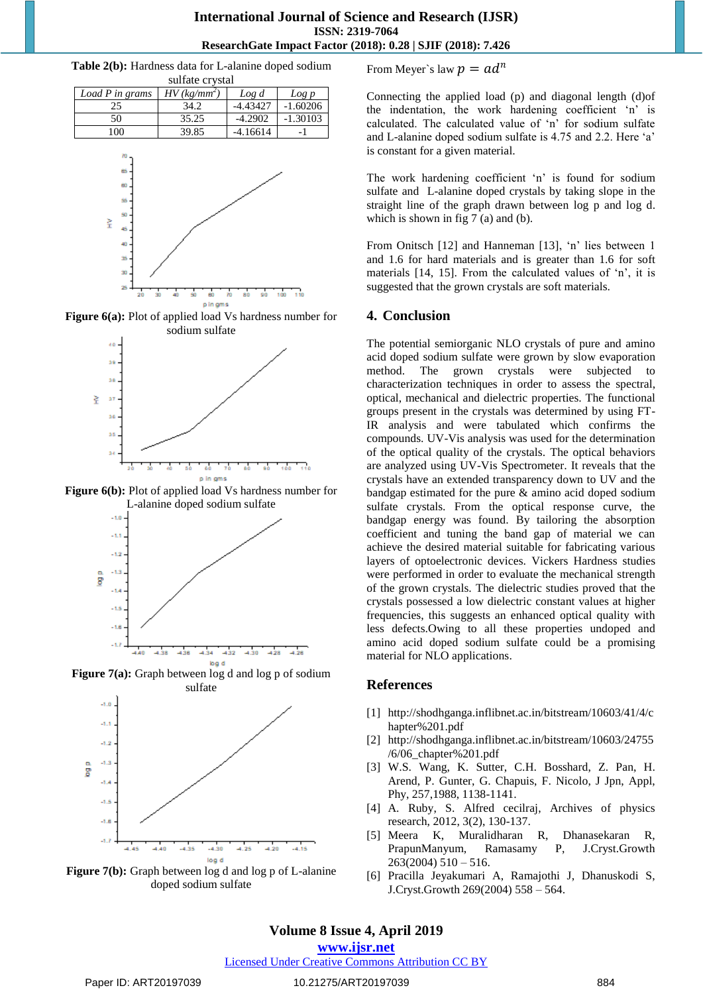## **International Journal of Science and Research (IJSR) ISSN: 2319-7064 ResearchGate Impact Factor (2018): 0.28 | SJIF (2018): 7.426**

**Table 2(b):** Hardness data for L-alanine doped sodium

| sulfate crystal |                            |            |            |  |  |
|-----------------|----------------------------|------------|------------|--|--|
| Load P in grams | $HV$ (kg/mm <sup>2</sup> ) | Log d      | Log p      |  |  |
| 25              | 34.2                       | $-4.43427$ | $-1.60206$ |  |  |
| 50              | 35.25                      | $-4.2902$  | $-1.30103$ |  |  |
| 100             | 39.85                      | $-4.16614$ |            |  |  |
|                 |                            |            |            |  |  |



**Figure 6(a):** Plot of applied load Vs hardness number for sodium sulfate



**Figure 6(b):** Plot of applied load Vs hardness number for L-alanine doped sodium sulfate



log d **Figure 7(b):** Graph between log d and log p of L-alanine doped sodium sulfate

 $-4.30$ 

 $-4.25$ 

 $-4.20$ 

 $-4.35$ 

From Meyer`s law  $p = ad^n$ 

Connecting the applied load (p) and diagonal length (d)of the indentation, the work hardening coefficient 'n' is calculated. The calculated value of 'n' for sodium sulfate and L-alanine doped sodium sulfate is 4.75 and 2.2. Here 'a' is constant for a given material.

The work hardening coefficient 'n' is found for sodium sulfate and L-alanine doped crystals by taking slope in the straight line of the graph drawn between log p and log d. which is shown in fig 7 (a) and (b).

From Onitsch [12] and Hanneman [13], 'n' lies between 1 and 1.6 for hard materials and is greater than 1.6 for soft materials [14, 15]. From the calculated values of 'n', it is suggested that the grown crystals are soft materials.

## **4. Conclusion**

The potential semiorganic NLO crystals of pure and amino acid doped sodium sulfate were grown by slow evaporation method. The grown crystals were subjected to characterization techniques in order to assess the spectral, optical, mechanical and dielectric properties. The functional groups present in the crystals was determined by using FT-IR analysis and were tabulated which confirms the compounds. UV-Vis analysis was used for the determination of the optical quality of the crystals. The optical behaviors are analyzed using UV-Vis Spectrometer. It reveals that the crystals have an extended transparency down to UV and the bandgap estimated for the pure & amino acid doped sodium sulfate crystals. From the optical response curve, the bandgap energy was found. By tailoring the absorption coefficient and tuning the band gap of material we can achieve the desired material suitable for fabricating various layers of optoelectronic devices. Vickers Hardness studies were performed in order to evaluate the mechanical strength of the grown crystals. The dielectric studies proved that the crystals possessed a low dielectric constant values at higher frequencies, this suggests an enhanced optical quality with less defects.Owing to all these properties undoped and amino acid doped sodium sulfate could be a promising material for NLO applications.

## **References**

- [1] [http://shodhganga.inflibnet.ac.in/bitstream/10603/41/4/c](http://shodhganga.inflibnet.ac.in/bitstream/10603/41/4/chapter%201.pdf) [hapter%201.pdf](http://shodhganga.inflibnet.ac.in/bitstream/10603/41/4/chapter%201.pdf)
- [2] [http://shodhganga.inflibnet.ac.in/bitstream/10603/24755](http://shodhganga.inflibnet.ac.in/bitstream/10603/24755/6/06_chapter%201.pdf) [/6/06\\_chapter%201.pdf](http://shodhganga.inflibnet.ac.in/bitstream/10603/24755/6/06_chapter%201.pdf)
- [3] W.S. Wang, K. Sutter, C.H. Bosshard, Z. Pan, H. Arend, P. Gunter, G. Chapuis, F. Nicolo, J Jpn, Appl, Phy, 257,1988, 1138-1141.
- [4] A. Ruby, S. Alfred cecilraj, Archives of physics research, 2012, 3(2), 130-137.
- [5] Meera K, Muralidharan R, Dhanasekaran R, PrapunManyum, Ramasamy P, J.Cryst.Growth  $263(2004)$  510 – 516.
- [6] Pracilla Jeyakumari A, Ramajothi J, Dhanuskodi S, J.Cryst.Growth 269(2004) 558 – 564.

## **Volume 8 Issue 4, April 2019**

 $-4.15$ 

**www.ijsr.net**

Licensed Under Creative Commons Attribution CC BY

 $4.45$ 

 $4.40$